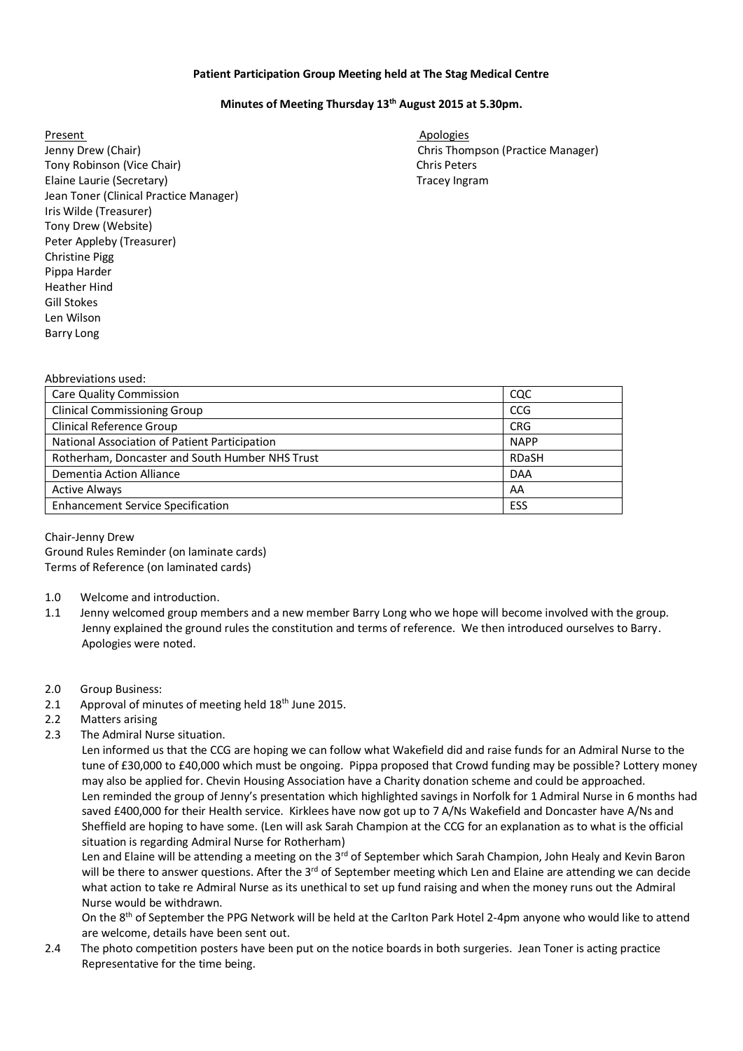## **Patient Participation Group Meeting held at The Stag Medical Centre**

## **Minutes of Meeting Thursday 13th August 2015 at 5.30pm.**

Present Apologies and Apologies and Apologies and Apologies and Apologies and Apologies and Apologies and Apologies Jenny Drew (Chair) **Chris Thompson (Practice Manager)** Chris Thompson (Practice Manager) Tony Robinson (Vice Chair) Chris Peters Chris Peters Chris Peters Chris Peters Chris Peters Chris Peters Chris Peters Chris Peters Chris Peters Chris Peters Chris Peters Chris Peters Chris Peters Chris Peters Chris Peters Elaine Laurie (Secretary) Tracey Ingram Jean Toner (Clinical Practice Manager) Iris Wilde (Treasurer) Tony Drew (Website) Peter Appleby (Treasurer) Christine Pigg Pippa Harder Heather Hind Gill Stokes Len Wilson Barry Long

| ADDI EVIALIONS USEU.                            |              |
|-------------------------------------------------|--------------|
| <b>Care Quality Commission</b>                  | CQC          |
| <b>Clinical Commissioning Group</b>             | <b>CCG</b>   |
| <b>Clinical Reference Group</b>                 | <b>CRG</b>   |
| National Association of Patient Participation   | <b>NAPP</b>  |
| Rotherham, Doncaster and South Humber NHS Trust | <b>RDaSH</b> |
| Dementia Action Alliance                        | <b>DAA</b>   |
| <b>Active Always</b>                            | AA           |
| <b>Enhancement Service Specification</b>        | <b>ESS</b>   |
|                                                 |              |

Chair-Jenny Drew Ground Rules Reminder (on laminate cards) Terms of Reference (on laminated cards)

- 1.0 Welcome and introduction.
- 1.1 Jenny welcomed group members and a new member Barry Long who we hope will become involved with the group. Jenny explained the ground rules the constitution and terms of reference. We then introduced ourselves to Barry. Apologies were noted.

## 2.0 Group Business:

Abbreviations used:

- 2.1 Approval of minutes of meeting held  $18<sup>th</sup>$  June 2015.
- 2.2 Matters arising
- 2.3 The Admiral Nurse situation.

 Len informed us that the CCG are hoping we can follow what Wakefield did and raise funds for an Admiral Nurse to the tune of £30,000 to £40,000 which must be ongoing. Pippa proposed that Crowd funding may be possible? Lottery money may also be applied for. Chevin Housing Association have a Charity donation scheme and could be approached. Len reminded the group of Jenny's presentation which highlighted savings in Norfolk for 1 Admiral Nurse in 6 months had saved £400,000 for their Health service. Kirklees have now got up to 7 A/Ns Wakefield and Doncaster have A/Ns and Sheffield are hoping to have some. (Len will ask Sarah Champion at the CCG for an explanation as to what is the official situation is regarding Admiral Nurse for Rotherham)

Len and Elaine will be attending a meeting on the 3<sup>rd</sup> of September which Sarah Champion, John Healy and Kevin Baron will be there to answer questions. After the 3<sup>rd</sup> of September meeting which Len and Elaine are attending we can decide what action to take re Admiral Nurse as its unethical to set up fund raising and when the money runs out the Admiral Nurse would be withdrawn.

On the 8<sup>th</sup> of September the PPG Network will be held at the Carlton Park Hotel 2-4pm anyone who would like to attend are welcome, details have been sent out.

2.4 The photo competition posters have been put on the notice boards in both surgeries. Jean Toner is acting practice Representative for the time being.